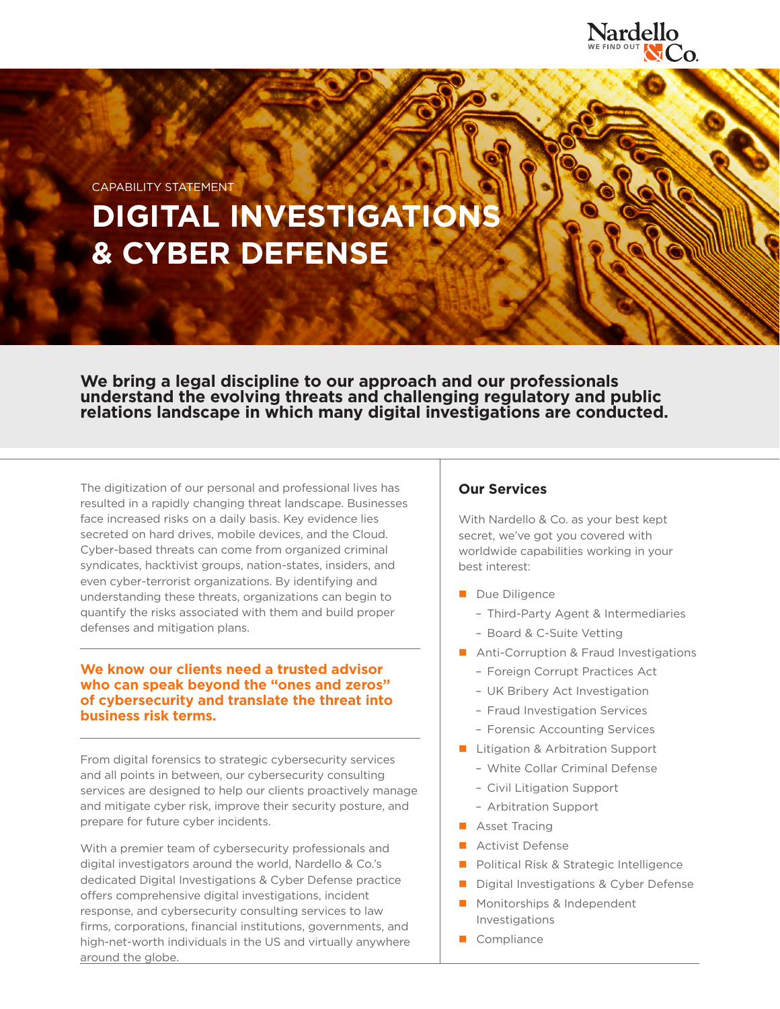

CAPABILITY STATEMENT

# **DIGITAL INVESTIGATIONS & CYBER DEFENSE**

**We bring a legal discipline to our approach and our professionals understand the evolving threats and challenging regulatory and public relations landscape in which many digital investigations are conducted.**

The digitization of our personal and professional lives has resulted in a rapidly changing threat landscape. Businesses face increased risks on a daily basis. Key evidence lies secreted on hard drives, mobile devices, and the Cloud. Cyber-based threats can come from organized criminal syndicates, hacktivist groups, nation-states, insiders, and even cyber-terrorist organizations. By identifying and understanding these threats, organizations can begin to quantify the risks associated with them and build proper defenses and mitigation plans.

## **We know our clients need a trusted advisor who can speak beyond the "ones and zeros" of cybersecurity and translate the threat into business risk terms.**

From digital forensics to strategic cybersecurity services and all points in between, our cybersecurity consulting services are designed to help our clients proactively manage and mitigate cyber risk, improve their security posture, and prepare for future cyber incidents.

With a premier team of cybersecurity professionals and digital investigators around the world, Nardello & Co.'s dedicated Digital Investigations & Cyber Defense practice offers comprehensive digital investigations, incident response, and cybersecurity consulting services to law firms, corporations, financial institutions, governments, and high-net-worth individuals in the US and virtually anywhere around the globe.

# **Our Services**

With Nardello & Co. as your best kept secret, we've got you covered with worldwide capabilities working in your best interest:

- Due Diligence
	- Third-Party Agent & Intermediaries
	- Board & C-Suite Vetting
- Anti-Corruption & Fraud Investigations
	- Foreign Corrupt Practices Act
	- UK Bribery Act Investigation
	- Fraud Investigation Services
	- Forensic Accounting Services
- **Litigation & Arbitration Support** 
	- White Collar Criminal Defense
	- Civil Litigation Support
	- Arbitration Support
- **Asset Tracing**
- **Activist Defense**
- **Political Risk & Strategic Intelligence**
- Digital Investigations & Cyber Defense
- **Monitorships & Independent** Investigations
- Compliance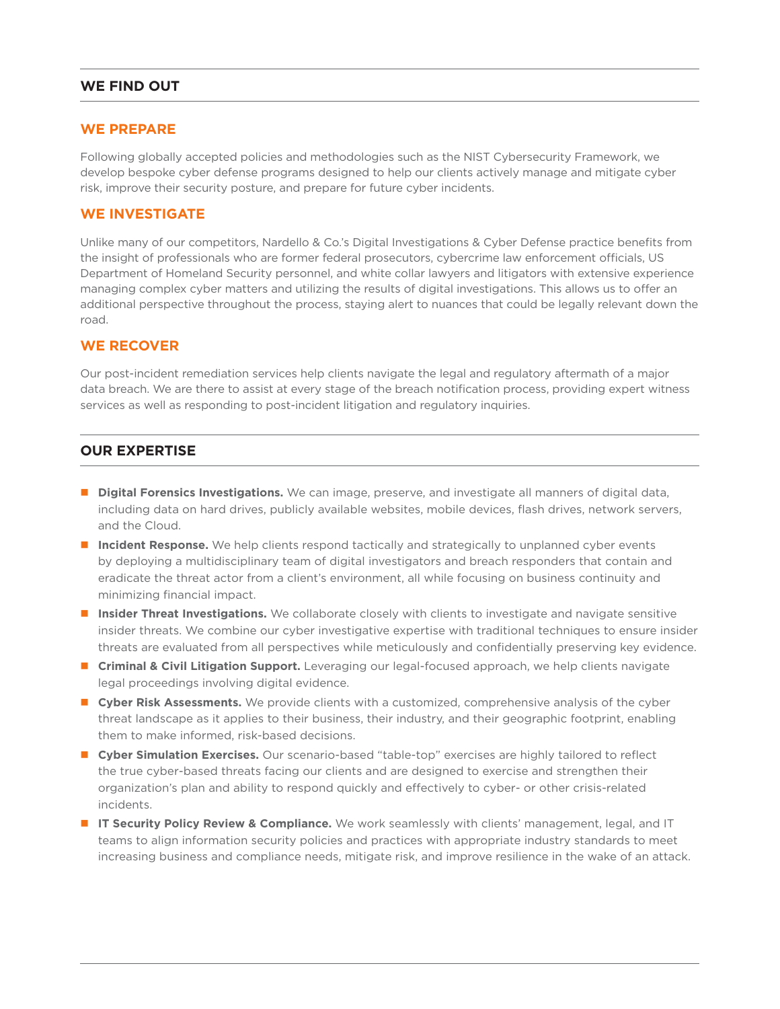# **WE FIND OUT**

## **WE PREPARE**

Following globally accepted policies and methodologies such as the NIST Cybersecurity Framework, we develop bespoke cyber defense programs designed to help our clients actively manage and mitigate cyber risk, improve their security posture, and prepare for future cyber incidents.

## **WE INVESTIGATE**

Unlike many of our competitors, Nardello & Co.'s Digital Investigations & Cyber Defense practice benefits from the insight of professionals who are former federal prosecutors, cybercrime law enforcement officials, US Department of Homeland Security personnel, and white collar lawyers and litigators with extensive experience managing complex cyber matters and utilizing the results of digital investigations. This allows us to offer an additional perspective throughout the process, staying alert to nuances that could be legally relevant down the road.

## **WE RECOVER**

Our post-incident remediation services help clients navigate the legal and regulatory aftermath of a major data breach. We are there to assist at every stage of the breach notification process, providing expert witness services as well as responding to post-incident litigation and regulatory inquiries.

## **OUR EXPERTISE**

- **Digital Forensics Investigations.** We can image, preserve, and investigate all manners of digital data, including data on hard drives, publicly available websites, mobile devices, flash drives, network servers, and the Cloud.
- **Incident Response.** We help clients respond tactically and strategically to unplanned cyber events by deploying a multidisciplinary team of digital investigators and breach responders that contain and eradicate the threat actor from a client's environment, all while focusing on business continuity and minimizing financial impact.
- **Insider Threat Investigations.** We collaborate closely with clients to investigate and navigate sensitive insider threats. We combine our cyber investigative expertise with traditional techniques to ensure insider threats are evaluated from all perspectives while meticulously and confidentially preserving key evidence.
- **Criminal & Civil Litigation Support.** Leveraging our legal-focused approach, we help clients navigate legal proceedings involving digital evidence.
- **Cyber Risk Assessments.** We provide clients with a customized, comprehensive analysis of the cyber threat landscape as it applies to their business, their industry, and their geographic footprint, enabling them to make informed, risk-based decisions.
- **Cyber Simulation Exercises.** Our scenario-based "table-top" exercises are highly tailored to reflect the true cyber-based threats facing our clients and are designed to exercise and strengthen their organization's plan and ability to respond quickly and effectively to cyber- or other crisis-related incidents.
- **IT Security Policy Review & Compliance.** We work seamlessly with clients' management, legal, and IT teams to align information security policies and practices with appropriate industry standards to meet increasing business and compliance needs, mitigate risk, and improve resilience in the wake of an attack.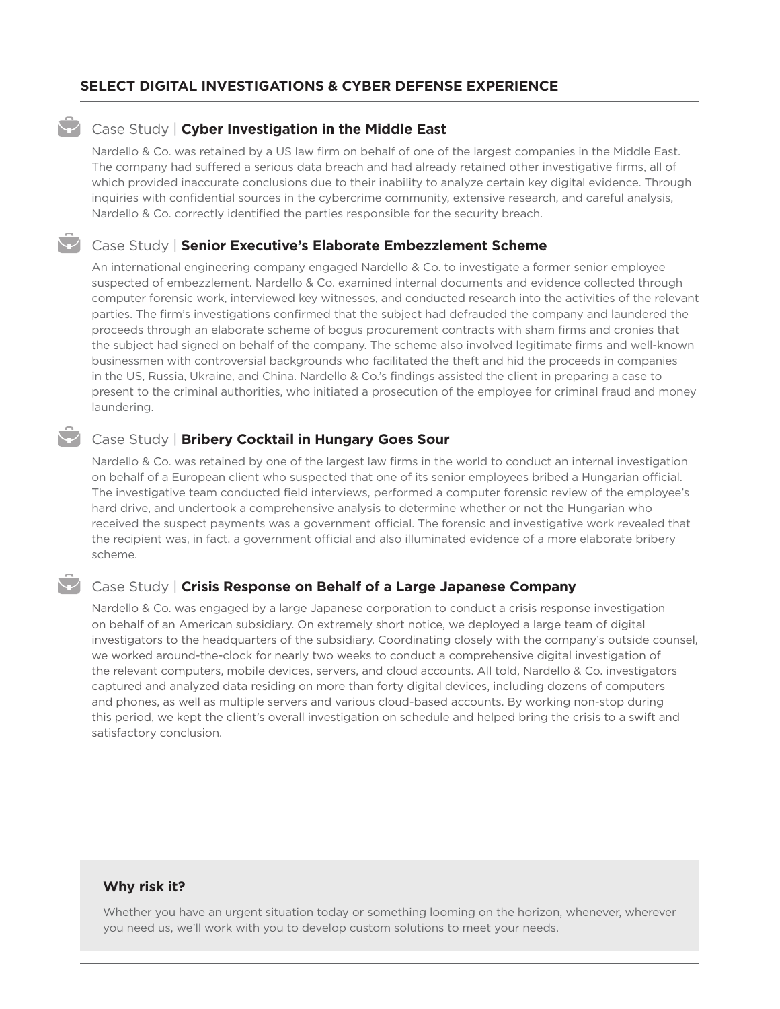## **SELECT DIGITAL INVESTIGATIONS & CYBER DEFENSE EXPERIENCE**

## **Case Study | Cyber Investigation in the Middle East**

Nardello & Co. was retained by a US law firm on behalf of one of the largest companies in the Middle East. The company had suffered a serious data breach and had already retained other investigative firms, all of which provided inaccurate conclusions due to their inability to analyze certain key digital evidence. Through inquiries with confidential sources in the cybercrime community, extensive research, and careful analysis, Nardello & Co. correctly identified the parties responsible for the security breach.

#### Case Study | **Senior Executive's Elaborate Embezzlement Scheme**

An international engineering company engaged Nardello & Co. to investigate a former senior employee suspected of embezzlement. Nardello & Co. examined internal documents and evidence collected through computer forensic work, interviewed key witnesses, and conducted research into the activities of the relevant parties. The firm's investigations confirmed that the subject had defrauded the company and laundered the proceeds through an elaborate scheme of bogus procurement contracts with sham firms and cronies that the subject had signed on behalf of the company. The scheme also involved legitimate firms and well-known businessmen with controversial backgrounds who facilitated the theft and hid the proceeds in companies in the US, Russia, Ukraine, and China. Nardello & Co.'s findings assisted the client in preparing a case to present to the criminal authorities, who initiated a prosecution of the employee for criminal fraud and money laundering.

## Case Study | **Bribery Cocktail in Hungary Goes Sour**

Nardello & Co. was retained by one of the largest law firms in the world to conduct an internal investigation on behalf of a European client who suspected that one of its senior employees bribed a Hungarian official. The investigative team conducted field interviews, performed a computer forensic review of the employee's hard drive, and undertook a comprehensive analysis to determine whether or not the Hungarian who received the suspect payments was a government official. The forensic and investigative work revealed that the recipient was, in fact, a government official and also illuminated evidence of a more elaborate bribery scheme.

#### Case Study | **Crisis Response on Behalf of a Large Japanese Company**

Nardello & Co. was engaged by a large Japanese corporation to conduct a crisis response investigation on behalf of an American subsidiary. On extremely short notice, we deployed a large team of digital investigators to the headquarters of the subsidiary. Coordinating closely with the company's outside counsel, we worked around-the-clock for nearly two weeks to conduct a comprehensive digital investigation of the relevant computers, mobile devices, servers, and cloud accounts. All told, Nardello & Co. investigators captured and analyzed data residing on more than forty digital devices, including dozens of computers and phones, as well as multiple servers and various cloud-based accounts. By working non-stop during this period, we kept the client's overall investigation on schedule and helped bring the crisis to a swift and satisfactory conclusion.

#### **Why risk it?**

Whether you have an urgent situation today or something looming on the horizon, whenever, wherever you need us, we'll work with you to develop custom solutions to meet your needs.